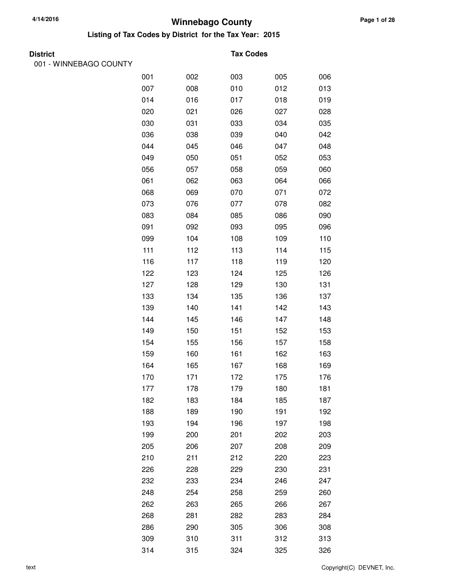**Listing of Tax Codes by District for the Tax Year: 2015**

001 - WINNEBAGO COUNTY

#### **Tax Codes**

| 001 | 002 | 003 | 005 | 006 |
|-----|-----|-----|-----|-----|
| 007 | 008 | 010 | 012 | 013 |
| 014 | 016 | 017 | 018 | 019 |
| 020 | 021 | 026 | 027 | 028 |
| 030 | 031 | 033 | 034 | 035 |
| 036 | 038 | 039 | 040 | 042 |
| 044 | 045 | 046 | 047 | 048 |
| 049 | 050 | 051 | 052 | 053 |
| 056 | 057 | 058 | 059 | 060 |
| 061 | 062 | 063 | 064 | 066 |
| 068 | 069 | 070 | 071 | 072 |
| 073 | 076 | 077 | 078 | 082 |
| 083 | 084 | 085 | 086 | 090 |
| 091 | 092 | 093 | 095 | 096 |
| 099 | 104 | 108 | 109 | 110 |
| 111 | 112 | 113 | 114 | 115 |
| 116 | 117 | 118 | 119 | 120 |
| 122 | 123 | 124 | 125 | 126 |
| 127 | 128 | 129 | 130 | 131 |
| 133 | 134 | 135 | 136 | 137 |
| 139 | 140 | 141 | 142 | 143 |
| 144 | 145 | 146 | 147 | 148 |
| 149 | 150 | 151 | 152 | 153 |
| 154 | 155 | 156 | 157 | 158 |
| 159 | 160 | 161 | 162 | 163 |
| 164 | 165 | 167 | 168 | 169 |
| 170 | 171 | 172 | 175 | 176 |
| 177 | 178 | 179 | 180 | 181 |
| 182 | 183 | 184 | 185 | 187 |
| 188 | 189 | 190 | 191 | 192 |
| 193 | 194 | 196 | 197 | 198 |
| 199 | 200 | 201 | 202 | 203 |
| 205 | 206 | 207 | 208 | 209 |
| 210 | 211 | 212 | 220 | 223 |
| 226 | 228 | 229 | 230 | 231 |
| 232 | 233 | 234 | 246 | 247 |
| 248 | 254 | 258 | 259 | 260 |
| 262 | 263 | 265 | 266 | 267 |
| 268 | 281 | 282 | 283 | 284 |
| 286 | 290 | 305 | 306 | 308 |
| 309 | 310 | 311 | 312 | 313 |
| 314 | 315 | 324 | 325 | 326 |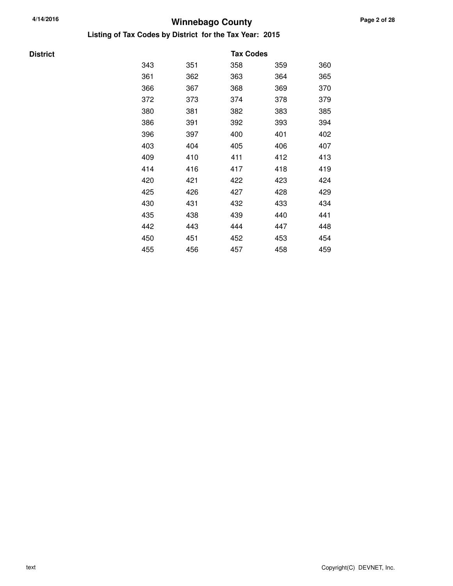**Listing of Tax Codes by District for the Tax Year: 2015**

**District** 

|     |     | <b>Tax Codes</b> |     |     |
|-----|-----|------------------|-----|-----|
| 343 | 351 | 358              | 359 | 360 |
| 361 | 362 | 363              | 364 | 365 |
| 366 | 367 | 368              | 369 | 370 |
| 372 | 373 | 374              | 378 | 379 |
| 380 | 381 | 382              | 383 | 385 |
| 386 | 391 | 392              | 393 | 394 |
| 396 | 397 | 400              | 401 | 402 |
| 403 | 404 | 405              | 406 | 407 |
| 409 | 410 | 411              | 412 | 413 |
| 414 | 416 | 417              | 418 | 419 |
| 420 | 421 | 422              | 423 | 424 |
| 425 | 426 | 427              | 428 | 429 |
| 430 | 431 | 432              | 433 | 434 |
| 435 | 438 | 439              | 440 | 441 |
| 442 | 443 | 444              | 447 | 448 |
| 450 | 451 | 452              | 453 | 454 |
| 455 | 456 | 457              | 458 | 459 |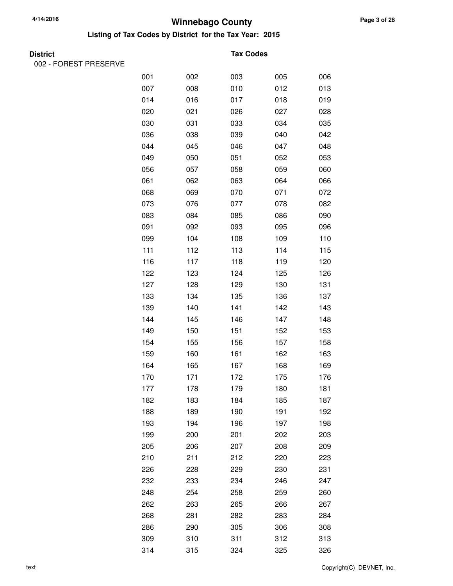**Listing of Tax Codes by District for the Tax Year: 2015**

002 - FOREST PRESERVE

#### **Tax Codes**

| 001 | 002 | 003 | 005 | 006 |
|-----|-----|-----|-----|-----|
| 007 | 008 | 010 | 012 | 013 |
| 014 | 016 | 017 | 018 | 019 |
| 020 | 021 | 026 | 027 | 028 |
| 030 | 031 | 033 | 034 | 035 |
| 036 | 038 | 039 | 040 | 042 |
| 044 | 045 | 046 | 047 | 048 |
| 049 | 050 | 051 | 052 | 053 |
| 056 | 057 | 058 | 059 | 060 |
| 061 | 062 | 063 | 064 | 066 |
| 068 | 069 | 070 | 071 | 072 |
| 073 | 076 | 077 | 078 | 082 |
| 083 | 084 | 085 | 086 | 090 |
| 091 | 092 | 093 | 095 | 096 |
| 099 | 104 | 108 | 109 | 110 |
| 111 | 112 | 113 | 114 | 115 |
| 116 | 117 | 118 | 119 | 120 |
| 122 | 123 | 124 | 125 | 126 |
| 127 | 128 | 129 | 130 | 131 |
| 133 | 134 | 135 | 136 | 137 |
| 139 | 140 | 141 | 142 | 143 |
| 144 | 145 | 146 | 147 | 148 |
| 149 | 150 | 151 | 152 | 153 |
| 154 | 155 | 156 | 157 | 158 |
| 159 | 160 | 161 | 162 | 163 |
| 164 | 165 | 167 | 168 | 169 |
| 170 | 171 | 172 | 175 | 176 |
| 177 | 178 | 179 | 180 | 181 |
| 182 | 183 | 184 | 185 | 187 |
| 188 | 189 | 190 | 191 | 192 |
| 193 | 194 | 196 | 197 | 198 |
| 199 | 200 | 201 | 202 | 203 |
| 205 | 206 | 207 | 208 | 209 |
| 210 | 211 | 212 | 220 | 223 |
| 226 | 228 | 229 | 230 | 231 |
| 232 | 233 | 234 | 246 | 247 |
| 248 | 254 | 258 | 259 | 260 |
| 262 | 263 | 265 | 266 | 267 |
| 268 | 281 | 282 | 283 | 284 |
| 286 | 290 | 305 | 306 | 308 |
| 309 | 310 | 311 | 312 | 313 |
| 314 | 315 | 324 | 325 | 326 |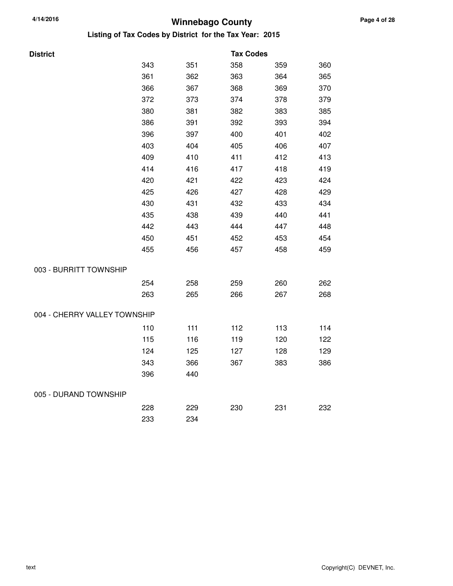| <b>District</b>              |     |     | <b>Tax Codes</b> |     |     |
|------------------------------|-----|-----|------------------|-----|-----|
|                              | 343 | 351 | 358              | 359 | 360 |
|                              | 361 | 362 | 363              | 364 | 365 |
|                              | 366 | 367 | 368              | 369 | 370 |
|                              | 372 | 373 | 374              | 378 | 379 |
|                              | 380 | 381 | 382              | 383 | 385 |
|                              | 386 | 391 | 392              | 393 | 394 |
|                              | 396 | 397 | 400              | 401 | 402 |
|                              | 403 | 404 | 405              | 406 | 407 |
|                              | 409 | 410 | 411              | 412 | 413 |
|                              | 414 | 416 | 417              | 418 | 419 |
|                              | 420 | 421 | 422              | 423 | 424 |
|                              | 425 | 426 | 427              | 428 | 429 |
|                              | 430 | 431 | 432              | 433 | 434 |
|                              | 435 | 438 | 439              | 440 | 441 |
|                              | 442 | 443 | 444              | 447 | 448 |
|                              | 450 | 451 | 452              | 453 | 454 |
|                              | 455 | 456 | 457              | 458 | 459 |
| 003 - BURRITT TOWNSHIP       |     |     |                  |     |     |
|                              | 254 | 258 | 259              | 260 | 262 |
|                              | 263 | 265 | 266              | 267 | 268 |
| 004 - CHERRY VALLEY TOWNSHIP |     |     |                  |     |     |
|                              | 110 | 111 | 112              | 113 | 114 |
|                              | 115 | 116 | 119              | 120 | 122 |
|                              | 124 | 125 | 127              | 128 | 129 |
|                              | 343 | 366 | 367              | 383 | 386 |
|                              | 396 | 440 |                  |     |     |
| 005 - DURAND TOWNSHIP        |     |     |                  |     |     |
|                              | 228 | 229 | 230              | 231 | 232 |
|                              | 233 | 234 |                  |     |     |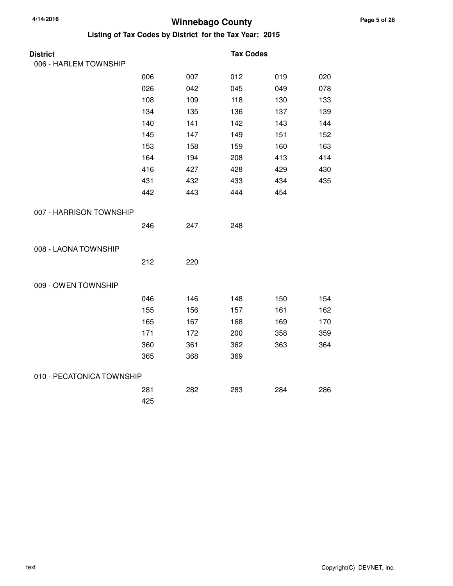| <b>District</b>           |     |     | <b>Tax Codes</b> |     |     |
|---------------------------|-----|-----|------------------|-----|-----|
| 006 - HARLEM TOWNSHIP     |     |     |                  |     |     |
|                           | 006 | 007 | 012              | 019 | 020 |
|                           | 026 | 042 | 045              | 049 | 078 |
|                           | 108 | 109 | 118              | 130 | 133 |
|                           | 134 | 135 | 136              | 137 | 139 |
|                           | 140 | 141 | 142              | 143 | 144 |
|                           | 145 | 147 | 149              | 151 | 152 |
|                           | 153 | 158 | 159              | 160 | 163 |
|                           | 164 | 194 | 208              | 413 | 414 |
|                           | 416 | 427 | 428              | 429 | 430 |
|                           | 431 | 432 | 433              | 434 | 435 |
|                           | 442 | 443 | 444              | 454 |     |
| 007 - HARRISON TOWNSHIP   |     |     |                  |     |     |
|                           | 246 | 247 | 248              |     |     |
| 008 - LAONA TOWNSHIP      |     |     |                  |     |     |
|                           | 212 | 220 |                  |     |     |
| 009 - OWEN TOWNSHIP       |     |     |                  |     |     |
|                           | 046 | 146 | 148              | 150 | 154 |
|                           | 155 | 156 | 157              | 161 | 162 |
|                           | 165 | 167 | 168              | 169 | 170 |
|                           | 171 | 172 | 200              | 358 | 359 |
|                           | 360 | 361 | 362              | 363 | 364 |
|                           | 365 | 368 | 369              |     |     |
| 010 - PECATONICA TOWNSHIP |     |     |                  |     |     |
|                           | 281 | 282 | 283              | 284 | 286 |
|                           | 425 |     |                  |     |     |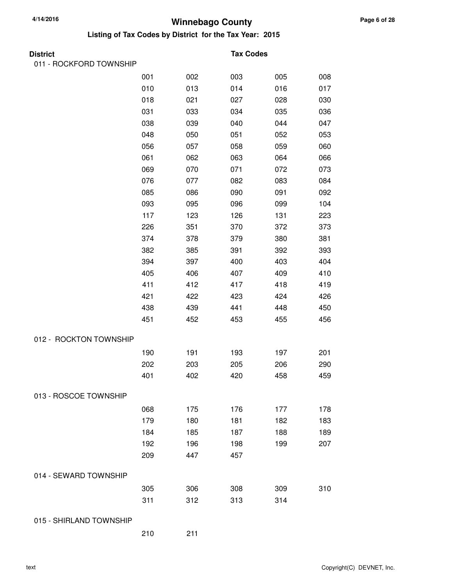**Listing of Tax Codes by District for the Tax Year: 2015**

| District |  |
|----------|--|

011 - ROCKFORD TOWNSHIP

#### **Tax Codes**

|                         | 001 | 002 | 003 | 005 | 008 |
|-------------------------|-----|-----|-----|-----|-----|
|                         | 010 | 013 | 014 | 016 | 017 |
|                         | 018 | 021 | 027 | 028 | 030 |
|                         | 031 | 033 | 034 | 035 | 036 |
|                         | 038 | 039 | 040 | 044 | 047 |
|                         | 048 | 050 | 051 | 052 | 053 |
|                         | 056 | 057 | 058 | 059 | 060 |
|                         | 061 | 062 | 063 | 064 | 066 |
|                         | 069 | 070 | 071 | 072 | 073 |
|                         | 076 | 077 | 082 | 083 | 084 |
|                         | 085 | 086 | 090 | 091 | 092 |
|                         | 093 | 095 | 096 | 099 | 104 |
|                         | 117 | 123 | 126 | 131 | 223 |
|                         | 226 | 351 | 370 | 372 | 373 |
|                         | 374 | 378 | 379 | 380 | 381 |
|                         | 382 | 385 | 391 | 392 | 393 |
|                         | 394 | 397 | 400 | 403 | 404 |
|                         | 405 | 406 | 407 | 409 | 410 |
|                         | 411 | 412 | 417 | 418 | 419 |
|                         | 421 | 422 | 423 | 424 | 426 |
|                         | 438 | 439 | 441 | 448 | 450 |
|                         | 451 | 452 | 453 | 455 | 456 |
| 012 - ROCKTON TOWNSHIP  |     |     |     |     |     |
|                         | 190 | 191 | 193 | 197 | 201 |
|                         | 202 | 203 | 205 | 206 | 290 |
|                         | 401 | 402 | 420 | 458 | 459 |
| 013 - ROSCOE TOWNSHIP   |     |     |     |     |     |
|                         | 068 | 175 | 176 | 177 | 178 |
|                         | 179 | 180 | 181 | 182 | 183 |
|                         | 184 | 185 | 187 | 188 | 189 |
|                         | 192 | 196 | 198 | 199 | 207 |
|                         | 209 | 447 | 457 |     |     |
| 014 - SEWARD TOWNSHIP   |     |     |     |     |     |
|                         |     |     |     |     |     |
|                         | 305 | 306 | 308 | 309 | 310 |
|                         | 311 | 312 | 313 | 314 |     |
| 015 - SHIRLAND TOWNSHIP |     |     |     |     |     |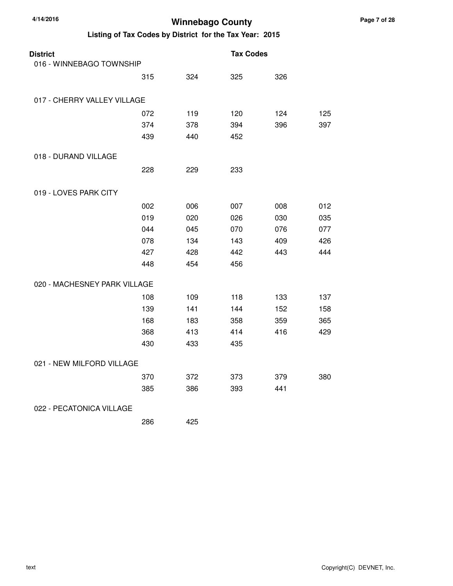| <b>District</b><br>016 - WINNEBAGO TOWNSHIP |     |     | <b>Tax Codes</b> |     |     |
|---------------------------------------------|-----|-----|------------------|-----|-----|
|                                             | 315 | 324 | 325              | 326 |     |
| 017 - CHERRY VALLEY VILLAGE                 |     |     |                  |     |     |
|                                             | 072 | 119 | 120              | 124 | 125 |
|                                             | 374 | 378 | 394              | 396 | 397 |
|                                             | 439 | 440 | 452              |     |     |
| 018 - DURAND VILLAGE                        |     |     |                  |     |     |
|                                             | 228 | 229 | 233              |     |     |
| 019 - LOVES PARK CITY                       |     |     |                  |     |     |
|                                             | 002 | 006 | 007              | 008 | 012 |
|                                             | 019 | 020 | 026              | 030 | 035 |
|                                             | 044 | 045 | 070              | 076 | 077 |
|                                             | 078 | 134 | 143              | 409 | 426 |
|                                             | 427 | 428 | 442              | 443 | 444 |
|                                             | 448 | 454 | 456              |     |     |
| 020 - MACHESNEY PARK VILLAGE                |     |     |                  |     |     |
|                                             | 108 | 109 | 118              | 133 | 137 |
|                                             | 139 | 141 | 144              | 152 | 158 |
|                                             | 168 | 183 | 358              | 359 | 365 |
|                                             | 368 | 413 | 414              | 416 | 429 |
|                                             | 430 | 433 | 435              |     |     |
| 021 - NEW MILFORD VILLAGE                   |     |     |                  |     |     |
|                                             | 370 | 372 | 373              | 379 | 380 |
|                                             | 385 | 386 | 393              | 441 |     |
| 022 - PECATONICA VILLAGE                    |     |     |                  |     |     |
|                                             | 286 | 425 |                  |     |     |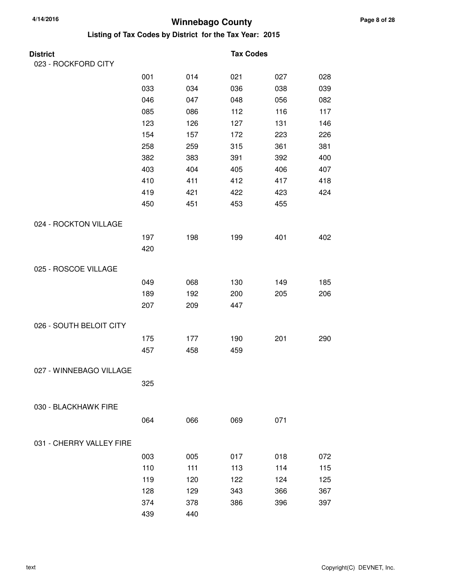| District                 |     |     | <b>Tax Codes</b> |     |     |
|--------------------------|-----|-----|------------------|-----|-----|
| 023 - ROCKFORD CITY      |     |     |                  |     |     |
|                          | 001 | 014 | 021              | 027 | 028 |
|                          | 033 | 034 | 036              | 038 | 039 |
|                          | 046 | 047 | 048              | 056 | 082 |
|                          | 085 | 086 | 112              | 116 | 117 |
|                          | 123 | 126 | 127              | 131 | 146 |
|                          | 154 | 157 | 172              | 223 | 226 |
|                          | 258 | 259 | 315              | 361 | 381 |
|                          | 382 | 383 | 391              | 392 | 400 |
|                          | 403 | 404 | 405              | 406 | 407 |
|                          | 410 | 411 | 412              | 417 | 418 |
|                          | 419 | 421 | 422              | 423 | 424 |
|                          | 450 | 451 | 453              | 455 |     |
| 024 - ROCKTON VILLAGE    |     |     |                  |     |     |
|                          | 197 | 198 | 199              | 401 | 402 |
|                          | 420 |     |                  |     |     |
| 025 - ROSCOE VILLAGE     |     |     |                  |     |     |
|                          | 049 | 068 | 130              | 149 | 185 |
|                          | 189 | 192 | 200              | 205 | 206 |
|                          | 207 | 209 | 447              |     |     |
| 026 - SOUTH BELOIT CITY  |     |     |                  |     |     |
|                          | 175 | 177 | 190              | 201 | 290 |
|                          | 457 | 458 | 459              |     |     |
| 027 - WINNEBAGO VILLAGE  |     |     |                  |     |     |
|                          | 325 |     |                  |     |     |
|                          |     |     |                  |     |     |
| 030 - BLACKHAWK FIRE     |     |     |                  |     |     |
|                          | 064 | 066 | 069              | 071 |     |
| 031 - CHERRY VALLEY FIRE |     |     |                  |     |     |
|                          | 003 | 005 | 017              | 018 | 072 |
|                          | 110 | 111 | 113              | 114 | 115 |
|                          | 119 | 120 | 122              | 124 | 125 |
|                          | 128 | 129 | 343              | 366 | 367 |
|                          | 374 | 378 | 386              | 396 | 397 |
|                          | 439 | 440 |                  |     |     |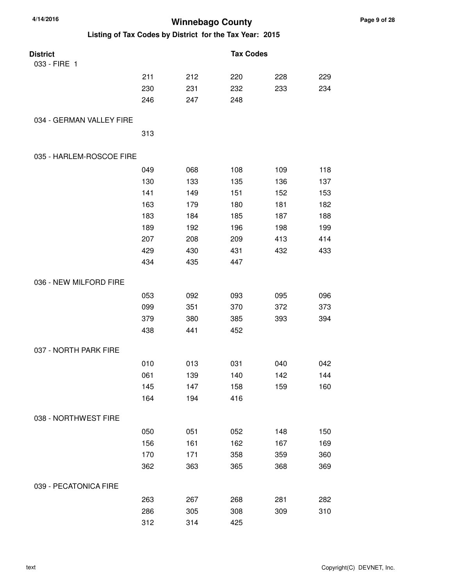| 4/14/2016<br><b>Winnebago County</b>                    |     |     |                  |     |     |
|---------------------------------------------------------|-----|-----|------------------|-----|-----|
| Listing of Tax Codes by District for the Tax Year: 2015 |     |     |                  |     |     |
| <b>District</b>                                         |     |     | <b>Tax Codes</b> |     |     |
| 033 - FIRE 1                                            |     |     |                  |     |     |
|                                                         | 211 | 212 | 220              | 228 | 229 |
|                                                         | 230 | 231 | 232              | 233 | 234 |
|                                                         | 246 | 247 | 248              |     |     |
| 034 - GERMAN VALLEY FIRE                                |     |     |                  |     |     |
|                                                         | 313 |     |                  |     |     |
| 035 - HARLEM-ROSCOE FIRE                                |     |     |                  |     |     |
|                                                         | 049 | 068 | 108              | 109 | 118 |
|                                                         | 130 | 133 | 135              | 136 | 137 |
|                                                         | 141 | 149 | 151              | 152 | 153 |
|                                                         | 163 | 179 | 180              | 181 | 182 |
|                                                         | 183 | 184 | 185              | 187 | 188 |
|                                                         | 189 | 192 | 196              | 198 | 199 |
|                                                         | 207 | 208 | 209              | 413 | 414 |
|                                                         | 429 | 430 | 431              | 432 | 433 |
|                                                         | 434 | 435 | 447              |     |     |
| 036 - NEW MILFORD FIRE                                  |     |     |                  |     |     |
|                                                         | 053 | 092 | 093              | 095 | 096 |
|                                                         | 099 | 351 | 370              | 372 | 373 |
|                                                         | 379 | 380 | 385              | 393 | 394 |
|                                                         | 438 | 441 | 452              |     |     |
| 037 - NORTH PARK FIRE                                   |     |     |                  |     |     |
|                                                         | 010 | 013 | 031              | 040 | 042 |
|                                                         | 061 | 139 | 140              | 142 | 144 |
|                                                         | 145 | 147 | 158              | 159 | 160 |
|                                                         | 164 | 194 | 416              |     |     |
| 038 - NORTHWEST FIRE                                    |     |     |                  |     |     |
|                                                         | 050 | 051 | 052              | 148 | 150 |
|                                                         | 156 | 161 | 162              | 167 | 169 |
|                                                         | 170 | 171 | 358              | 359 | 360 |
|                                                         | 362 | 363 | 365              | 368 | 369 |
| 039 - PECATONICA FIRE                                   |     |     |                  |     |     |
|                                                         | 263 | 267 | 268              | 281 | 282 |
|                                                         | 286 | 305 | 308              | 309 | 310 |
|                                                         | 312 | 314 | 425              |     |     |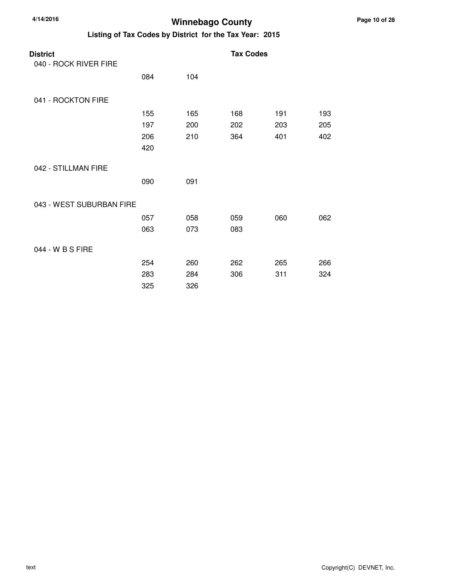| 4/14/2016                                | <b>Winnebago County</b> |     |                                                         |     |     |  |  |
|------------------------------------------|-------------------------|-----|---------------------------------------------------------|-----|-----|--|--|
|                                          |                         |     | Listing of Tax Codes by District for the Tax Year: 2015 |     |     |  |  |
| <b>District</b><br>040 - ROCK RIVER FIRE |                         |     | <b>Tax Codes</b>                                        |     |     |  |  |
|                                          | 084                     | 104 |                                                         |     |     |  |  |
| 041 - ROCKTON FIRE                       |                         |     |                                                         |     |     |  |  |
|                                          | 155                     | 165 | 168                                                     | 191 | 193 |  |  |
|                                          | 197                     | 200 | 202                                                     | 203 | 205 |  |  |
|                                          | 206                     | 210 | 364                                                     | 401 | 402 |  |  |
|                                          | 420                     |     |                                                         |     |     |  |  |
| 042 - STILLMAN FIRE                      |                         |     |                                                         |     |     |  |  |
|                                          | 090                     | 091 |                                                         |     |     |  |  |
| 043 - WEST SUBURBAN FIRE                 |                         |     |                                                         |     |     |  |  |
|                                          | 057                     | 058 | 059                                                     | 060 | 062 |  |  |
|                                          | 063                     | 073 | 083                                                     |     |     |  |  |
| 044 - W B S FIRE                         |                         |     |                                                         |     |     |  |  |
|                                          | 254                     | 260 | 262                                                     | 265 | 266 |  |  |
|                                          | 283                     | 284 | 306                                                     | 311 | 324 |  |  |
|                                          | 325                     | 326 |                                                         |     |     |  |  |

**Page 10 of 28**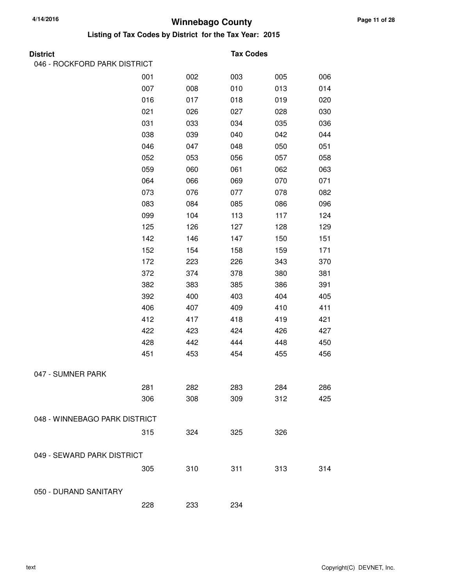| <b>District</b>               |     |     | <b>Tax Codes</b> |     |     |
|-------------------------------|-----|-----|------------------|-----|-----|
| 046 - ROCKFORD PARK DISTRICT  |     |     |                  |     |     |
|                               | 001 | 002 | 003              | 005 | 006 |
|                               | 007 | 008 | 010              | 013 | 014 |
|                               | 016 | 017 | 018              | 019 | 020 |
|                               | 021 | 026 | 027              | 028 | 030 |
|                               | 031 | 033 | 034              | 035 | 036 |
|                               | 038 | 039 | 040              | 042 | 044 |
|                               | 046 | 047 | 048              | 050 | 051 |
|                               | 052 | 053 | 056              | 057 | 058 |
|                               | 059 | 060 | 061              | 062 | 063 |
|                               | 064 | 066 | 069              | 070 | 071 |
|                               | 073 | 076 | 077              | 078 | 082 |
|                               | 083 | 084 | 085              | 086 | 096 |
|                               | 099 | 104 | 113              | 117 | 124 |
|                               | 125 | 126 | 127              | 128 | 129 |
|                               | 142 | 146 | 147              | 150 | 151 |
|                               | 152 | 154 | 158              | 159 | 171 |
|                               | 172 | 223 | 226              | 343 | 370 |
|                               | 372 | 374 | 378              | 380 | 381 |
|                               | 382 | 383 | 385              | 386 | 391 |
|                               | 392 | 400 | 403              | 404 | 405 |
|                               | 406 | 407 | 409              | 410 | 411 |
|                               | 412 | 417 | 418              | 419 | 421 |
|                               | 422 | 423 | 424              | 426 | 427 |
|                               | 428 | 442 | 444              | 448 | 450 |
|                               | 451 | 453 | 454              | 455 | 456 |
| 047 - SUMNER PARK             |     |     |                  |     |     |
|                               | 281 | 282 | 283              | 284 | 286 |
|                               | 306 | 308 | 309              | 312 | 425 |
| 048 - WINNEBAGO PARK DISTRICT |     |     |                  |     |     |
|                               | 315 | 324 | 325              | 326 |     |
| 049 - SEWARD PARK DISTRICT    |     |     |                  |     |     |
|                               | 305 | 310 | 311              | 313 | 314 |
| 050 - DURAND SANITARY         |     |     |                  |     |     |
|                               | 228 | 233 | 234              |     |     |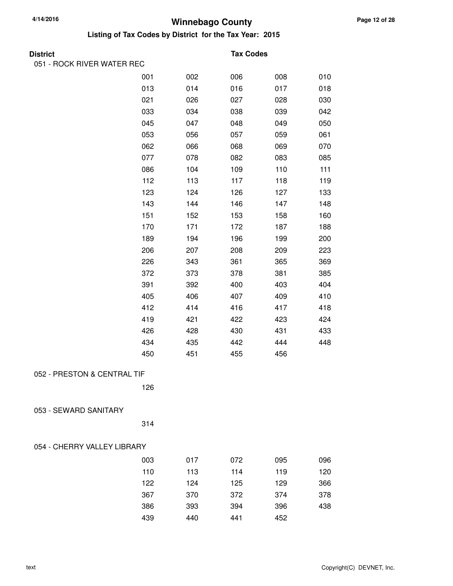**Listing of Tax Codes by District for the Tax Year: 2015**

| Districi |  |
|----------|--|
|          |  |

#### **Tax Codes**

| 051 - ROCK RIVER WATER REC  |     |     |     |     |     |
|-----------------------------|-----|-----|-----|-----|-----|
|                             | 001 | 002 | 006 | 008 | 010 |
|                             | 013 | 014 | 016 | 017 | 018 |
|                             | 021 | 026 | 027 | 028 | 030 |
|                             | 033 | 034 | 038 | 039 | 042 |
|                             | 045 | 047 | 048 | 049 | 050 |
|                             | 053 | 056 | 057 | 059 | 061 |
|                             | 062 | 066 | 068 | 069 | 070 |
|                             | 077 | 078 | 082 | 083 | 085 |
|                             | 086 | 104 | 109 | 110 | 111 |
|                             | 112 | 113 | 117 | 118 | 119 |
|                             | 123 | 124 | 126 | 127 | 133 |
|                             | 143 | 144 | 146 | 147 | 148 |
|                             | 151 | 152 | 153 | 158 | 160 |
|                             | 170 | 171 | 172 | 187 | 188 |
|                             | 189 | 194 | 196 | 199 | 200 |
|                             | 206 | 207 | 208 | 209 | 223 |
|                             | 226 | 343 | 361 | 365 | 369 |
|                             | 372 | 373 | 378 | 381 | 385 |
|                             | 391 | 392 | 400 | 403 | 404 |
|                             | 405 | 406 | 407 | 409 | 410 |
|                             | 412 | 414 | 416 | 417 | 418 |
|                             | 419 | 421 | 422 | 423 | 424 |
|                             | 426 | 428 | 430 | 431 | 433 |
|                             | 434 | 435 | 442 | 444 | 448 |
|                             | 450 | 451 | 455 | 456 |     |
| 052 - PRESTON & CENTRAL TIF |     |     |     |     |     |
|                             | 126 |     |     |     |     |
| 053 - SEWARD SANITARY       |     |     |     |     |     |
|                             | 314 |     |     |     |     |
| 054 - CHERRY VALLEY LIBRARY |     |     |     |     |     |
|                             | 003 | 017 | 072 | 095 | 096 |
|                             | 110 | 113 | 114 | 119 | 120 |
|                             | 122 | 124 | 125 | 129 | 366 |
|                             | 367 | 370 | 372 | 374 | 378 |
|                             | 386 | 393 | 394 | 396 | 438 |
|                             | 439 | 440 | 441 | 452 |     |
|                             |     |     |     |     |     |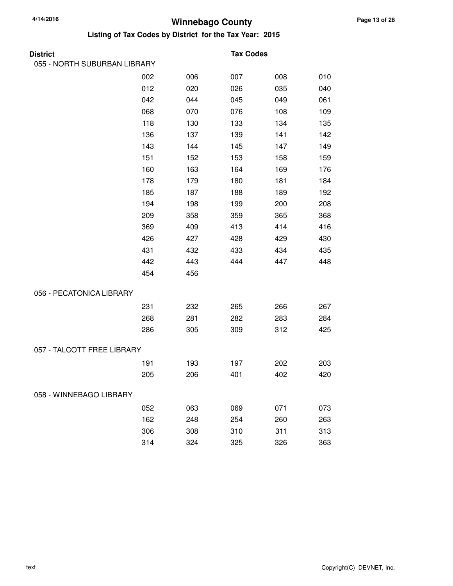| <b>District</b>              |     |     | <b>Tax Codes</b> |     |     |
|------------------------------|-----|-----|------------------|-----|-----|
| 055 - NORTH SUBURBAN LIBRARY |     |     |                  |     |     |
|                              | 002 | 006 | 007              | 008 | 010 |
|                              | 012 | 020 | 026              | 035 | 040 |
|                              | 042 | 044 | 045              | 049 | 061 |
|                              | 068 | 070 | 076              | 108 | 109 |
|                              | 118 | 130 | 133              | 134 | 135 |
|                              | 136 | 137 | 139              | 141 | 142 |
|                              | 143 | 144 | 145              | 147 | 149 |
|                              | 151 | 152 | 153              | 158 | 159 |
|                              | 160 | 163 | 164              | 169 | 176 |
|                              | 178 | 179 | 180              | 181 | 184 |
|                              | 185 | 187 | 188              | 189 | 192 |
|                              | 194 | 198 | 199              | 200 | 208 |
|                              | 209 | 358 | 359              | 365 | 368 |
|                              | 369 | 409 | 413              | 414 | 416 |
|                              | 426 | 427 | 428              | 429 | 430 |
|                              | 431 | 432 | 433              | 434 | 435 |
|                              | 442 | 443 | 444              | 447 | 448 |
|                              | 454 | 456 |                  |     |     |
| 056 - PECATONICA LIBRARY     |     |     |                  |     |     |
|                              | 231 | 232 | 265              | 266 | 267 |
|                              | 268 | 281 | 282              | 283 | 284 |
|                              | 286 | 305 | 309              | 312 | 425 |
| 057 - TALCOTT FREE LIBRARY   |     |     |                  |     |     |
|                              | 191 | 193 | 197              | 202 | 203 |
|                              | 205 | 206 | 401              | 402 | 420 |
| 058 - WINNEBAGO LIBRARY      |     |     |                  |     |     |
|                              | 052 | 063 | 069              | 071 | 073 |
|                              | 162 | 248 | 254              | 260 | 263 |
|                              | 306 | 308 | 310              | 311 | 313 |
|                              | 314 | 324 | 325              | 326 | 363 |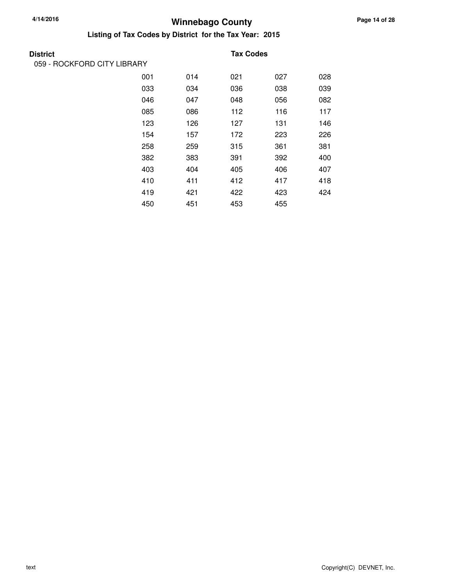### **Winnebago County 4/14/2016**

| <b>District</b>             |     |     | <b>Tax Codes</b> |     |     |
|-----------------------------|-----|-----|------------------|-----|-----|
| 059 - ROCKFORD CITY LIBRARY |     |     |                  |     |     |
|                             | 001 | 014 | 021              | 027 | 028 |
|                             | 033 | 034 | 036              | 038 | 039 |
|                             | 046 | 047 | 048              | 056 | 082 |
|                             | 085 | 086 | 112              | 116 | 117 |
|                             | 123 | 126 | 127              | 131 | 146 |
|                             | 154 | 157 | 172              | 223 | 226 |
|                             | 258 | 259 | 315              | 361 | 381 |
|                             | 382 | 383 | 391              | 392 | 400 |
|                             | 403 | 404 | 405              | 406 | 407 |
|                             | 410 | 411 | 412              | 417 | 418 |
|                             | 419 | 421 | 422              | 423 | 424 |
|                             | 450 | 451 | 453              | 455 |     |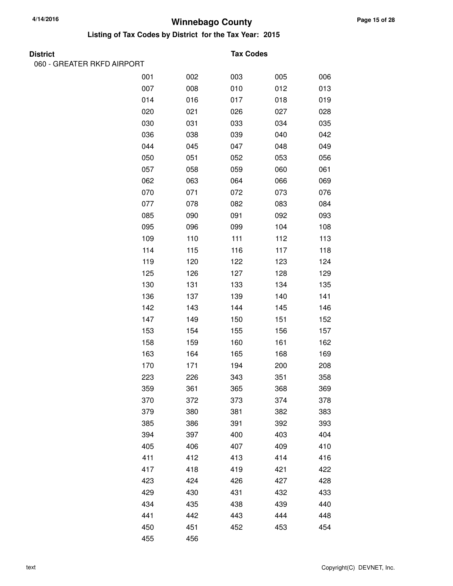**Listing of Tax Codes by District for the Tax Year: 2015**

| т<br>r<br>۰.<br>г |
|-------------------|
|-------------------|

060 - GREATER RKFD AIRPORT

#### **Tax Codes**

| 001 | 002 | 003 | 005 | 006 |
|-----|-----|-----|-----|-----|
| 007 | 008 | 010 | 012 | 013 |
| 014 | 016 | 017 | 018 | 019 |
| 020 | 021 | 026 | 027 | 028 |
| 030 | 031 | 033 | 034 | 035 |
| 036 | 038 | 039 | 040 | 042 |
| 044 | 045 | 047 | 048 | 049 |
| 050 | 051 | 052 | 053 | 056 |
| 057 | 058 | 059 | 060 | 061 |
| 062 | 063 | 064 | 066 | 069 |
| 070 | 071 | 072 | 073 | 076 |
| 077 | 078 | 082 | 083 | 084 |
| 085 | 090 | 091 | 092 | 093 |
| 095 | 096 | 099 | 104 | 108 |
| 109 | 110 | 111 | 112 | 113 |
| 114 | 115 | 116 | 117 | 118 |
| 119 | 120 | 122 | 123 | 124 |
| 125 | 126 | 127 | 128 | 129 |
| 130 | 131 | 133 | 134 | 135 |
| 136 | 137 | 139 | 140 | 141 |
| 142 | 143 | 144 | 145 | 146 |
| 147 | 149 | 150 | 151 | 152 |
| 153 | 154 | 155 | 156 | 157 |
| 158 | 159 | 160 | 161 | 162 |
| 163 | 164 | 165 | 168 | 169 |
| 170 | 171 | 194 | 200 | 208 |
| 223 | 226 | 343 | 351 | 358 |
| 359 | 361 | 365 | 368 | 369 |
| 370 | 372 | 373 | 374 | 378 |
| 379 | 380 | 381 | 382 | 383 |
| 385 | 386 | 391 | 392 | 393 |
| 394 | 397 | 400 | 403 | 404 |
| 405 | 406 | 407 | 409 | 410 |
| 411 | 412 | 413 | 414 | 416 |
| 417 | 418 | 419 | 421 | 422 |
| 423 | 424 | 426 | 427 | 428 |
| 429 | 430 | 431 | 432 | 433 |
| 434 | 435 | 438 | 439 | 440 |
| 441 | 442 | 443 | 444 | 448 |
| 450 | 451 | 452 | 453 | 454 |
| 455 | 456 |     |     |     |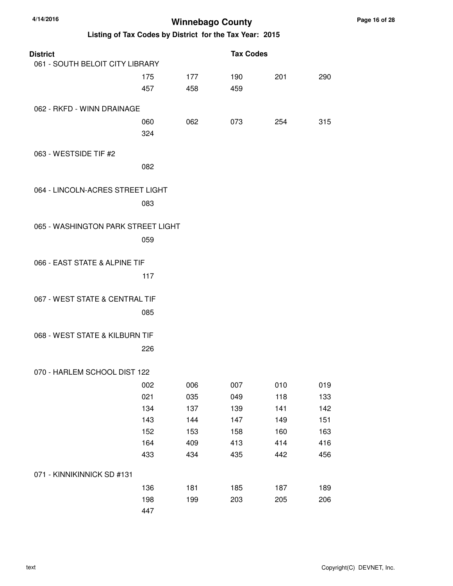| 4/14/2016                                               |     | <b>Winnebago County</b> |                  |     |     |
|---------------------------------------------------------|-----|-------------------------|------------------|-----|-----|
| Listing of Tax Codes by District for the Tax Year: 2015 |     |                         |                  |     |     |
| <b>District</b>                                         |     |                         | <b>Tax Codes</b> |     |     |
| 061 - SOUTH BELOIT CITY LIBRARY                         |     |                         |                  |     |     |
|                                                         | 175 | 177                     | 190              | 201 | 290 |
|                                                         | 457 | 458                     | 459              |     |     |
| 062 - RKFD - WINN DRAINAGE                              |     |                         |                  |     |     |
|                                                         | 060 | 062                     | 073              | 254 | 315 |
|                                                         | 324 |                         |                  |     |     |
| 063 - WESTSIDE TIF #2                                   |     |                         |                  |     |     |
|                                                         | 082 |                         |                  |     |     |
| 064 - LINCOLN-ACRES STREET LIGHT                        |     |                         |                  |     |     |
|                                                         | 083 |                         |                  |     |     |
|                                                         |     |                         |                  |     |     |
| 065 - WASHINGTON PARK STREET LIGHT                      |     |                         |                  |     |     |
|                                                         | 059 |                         |                  |     |     |
| 066 - EAST STATE & ALPINE TIF                           |     |                         |                  |     |     |
|                                                         |     |                         |                  |     |     |
|                                                         | 117 |                         |                  |     |     |
| 067 - WEST STATE & CENTRAL TIF                          |     |                         |                  |     |     |
|                                                         | 085 |                         |                  |     |     |
| 068 - WEST STATE & KILBURN TIF                          |     |                         |                  |     |     |
|                                                         | 226 |                         |                  |     |     |
|                                                         |     |                         |                  |     |     |
| 070 - HARLEM SCHOOL DIST 122                            |     |                         |                  |     |     |
|                                                         | 002 | 006                     | 007              | 010 | 019 |
|                                                         | 021 | 035                     | 049              | 118 | 133 |
|                                                         | 134 | 137                     | 139              | 141 | 142 |
|                                                         | 143 | 144                     | 147              | 149 | 151 |
|                                                         | 152 | 153                     | 158              | 160 | 163 |
|                                                         | 164 | 409                     | 413              | 414 | 416 |
|                                                         | 433 | 434                     | 435              | 442 | 456 |
| 071 - KINNIKINNICK SD #131                              |     |                         |                  |     |     |
|                                                         | 136 | 181                     | 185              | 187 | 189 |
|                                                         | 198 | 199                     | 203              | 205 | 206 |
|                                                         | 447 |                         |                  |     |     |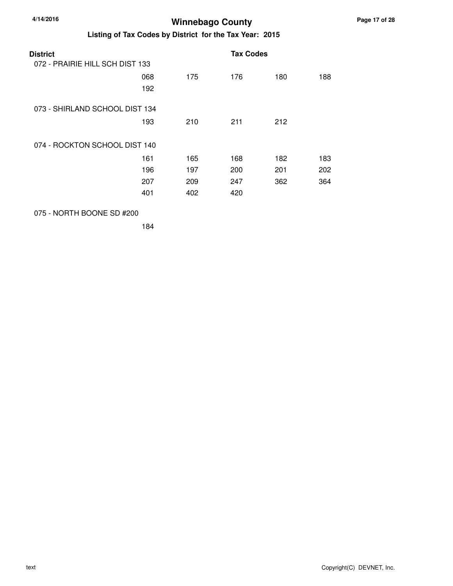| 4/14/2016       |                                 | <b>Winnebago County</b><br>Listing of Tax Codes by District for the Tax Year: 2015 |                  |     |     |  |  |  |
|-----------------|---------------------------------|------------------------------------------------------------------------------------|------------------|-----|-----|--|--|--|
|                 |                                 |                                                                                    |                  |     |     |  |  |  |
| <b>District</b> |                                 |                                                                                    | <b>Tax Codes</b> |     |     |  |  |  |
|                 | 072 - PRAIRIE HILL SCH DIST 133 |                                                                                    |                  |     |     |  |  |  |
|                 | 068                             | 175                                                                                | 176              | 180 | 188 |  |  |  |
|                 | 192                             |                                                                                    |                  |     |     |  |  |  |
|                 | 073 - SHIRLAND SCHOOL DIST 134  |                                                                                    |                  |     |     |  |  |  |
|                 | 193                             | 210                                                                                | 211              | 212 |     |  |  |  |
|                 | 074 - ROCKTON SCHOOL DIST 140   |                                                                                    |                  |     |     |  |  |  |
|                 | 161                             | 165                                                                                | 168              | 182 | 183 |  |  |  |

401 402 420

184

075 - NORTH BOONE SD #200

196 197 200 201 202 207 209 247 362 364

text Copyright(C) DEVNET, Inc.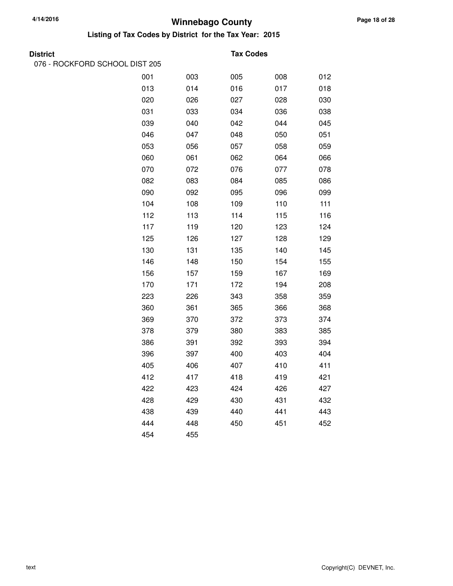**Listing of Tax Codes by District for the Tax Year: 2015**

076 - ROCKFORD SCHOOL DIST 205

#### **District Tax Codes**

| 001 | 003 | 005 | 008 | 012 |
|-----|-----|-----|-----|-----|
| 013 | 014 | 016 | 017 | 018 |
| 020 | 026 | 027 | 028 | 030 |
| 031 | 033 | 034 | 036 | 038 |
| 039 | 040 | 042 | 044 | 045 |
| 046 | 047 | 048 | 050 | 051 |
| 053 | 056 | 057 | 058 | 059 |
| 060 | 061 | 062 | 064 | 066 |
| 070 | 072 | 076 | 077 | 078 |
| 082 | 083 | 084 | 085 | 086 |
| 090 | 092 | 095 | 096 | 099 |
| 104 | 108 | 109 | 110 | 111 |
| 112 | 113 | 114 | 115 | 116 |
| 117 | 119 | 120 | 123 | 124 |
| 125 | 126 | 127 | 128 | 129 |
| 130 | 131 | 135 | 140 | 145 |
| 146 | 148 | 150 | 154 | 155 |
| 156 | 157 | 159 | 167 | 169 |
| 170 | 171 | 172 | 194 | 208 |
| 223 | 226 | 343 | 358 | 359 |
| 360 | 361 | 365 | 366 | 368 |
| 369 | 370 | 372 | 373 | 374 |
| 378 | 379 | 380 | 383 | 385 |
| 386 | 391 | 392 | 393 | 394 |
| 396 | 397 | 400 | 403 | 404 |
| 405 | 406 | 407 | 410 | 411 |
| 412 | 417 | 418 | 419 | 421 |
| 422 | 423 | 424 | 426 | 427 |
| 428 | 429 | 430 | 431 | 432 |
| 438 | 439 | 440 | 441 | 443 |
| 444 | 448 | 450 | 451 | 452 |
| 454 | 455 |     |     |     |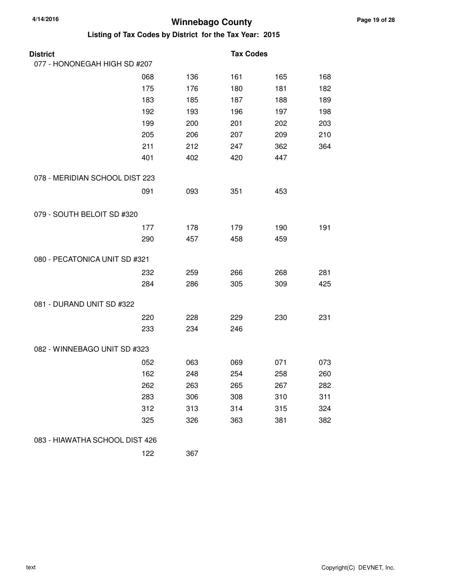| <b>District</b>                |     |     | <b>Tax Codes</b> |     |     |
|--------------------------------|-----|-----|------------------|-----|-----|
| 077 - HONONEGAH HIGH SD #207   |     |     |                  |     |     |
|                                | 068 | 136 | 161              | 165 | 168 |
|                                | 175 | 176 | 180              | 181 | 182 |
|                                | 183 | 185 | 187              | 188 | 189 |
|                                | 192 | 193 | 196              | 197 | 198 |
|                                | 199 | 200 | 201              | 202 | 203 |
|                                | 205 | 206 | 207              | 209 | 210 |
|                                | 211 | 212 | 247              | 362 | 364 |
|                                | 401 | 402 | 420              | 447 |     |
| 078 - MERIDIAN SCHOOL DIST 223 |     |     |                  |     |     |
|                                | 091 | 093 | 351              | 453 |     |
| 079 - SOUTH BELOIT SD #320     |     |     |                  |     |     |
|                                | 177 | 178 | 179              | 190 | 191 |
|                                | 290 | 457 | 458              | 459 |     |
| 080 - PECATONICA UNIT SD #321  |     |     |                  |     |     |
|                                | 232 | 259 | 266              | 268 | 281 |
|                                | 284 | 286 | 305              | 309 | 425 |
| 081 - DURAND UNIT SD #322      |     |     |                  |     |     |
|                                | 220 | 228 | 229              | 230 | 231 |
|                                | 233 | 234 | 246              |     |     |
| 082 - WINNEBAGO UNIT SD #323   |     |     |                  |     |     |
|                                | 052 | 063 | 069              | 071 | 073 |
|                                | 162 | 248 | 254              | 258 | 260 |
|                                | 262 | 263 | 265              | 267 | 282 |
|                                | 283 | 306 | 308              | 310 | 311 |
|                                | 312 | 313 | 314              | 315 | 324 |
|                                | 325 | 326 | 363              | 381 | 382 |
| 083 - HIAWATHA SCHOOL DIST 426 |     |     |                  |     |     |
|                                | 122 | 367 |                  |     |     |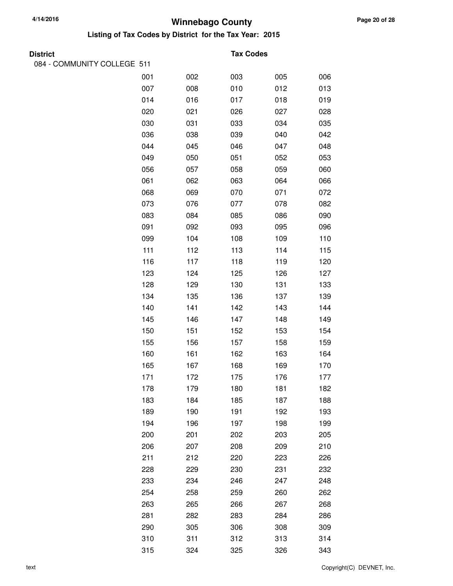| <b>District</b>             |     |     | <b>Tax Codes</b> |     |     |
|-----------------------------|-----|-----|------------------|-----|-----|
| 084 - COMMUNITY COLLEGE 511 |     |     |                  |     |     |
|                             | 001 | 002 | 003              | 005 | 006 |
|                             | 007 | 008 | 010              | 012 | 013 |
|                             | 014 | 016 | 017              | 018 | 019 |
|                             | 020 | 021 | 026              | 027 | 028 |
|                             | 030 | 031 | 033              | 034 | 035 |
|                             | 036 | 038 | 039              | 040 | 042 |
|                             | 044 | 045 | 046              | 047 | 048 |
|                             | 049 | 050 | 051              | 052 | 053 |
|                             | 056 | 057 | 058              | 059 | 060 |
|                             | 061 | 062 | 063              | 064 | 066 |
|                             | 068 | 069 | 070              | 071 | 072 |
|                             | 073 | 076 | 077              | 078 | 082 |
|                             | 083 | 084 | 085              | 086 | 090 |
|                             | 091 | 092 | 093              | 095 | 096 |
|                             | 099 | 104 | 108              | 109 | 110 |
|                             | 111 | 112 | 113              | 114 | 115 |
|                             | 116 | 117 | 118              | 119 | 120 |
|                             | 123 | 124 | 125              | 126 | 127 |
|                             | 128 | 129 | 130              | 131 | 133 |
|                             | 134 | 135 | 136              | 137 | 139 |
|                             | 140 | 141 | 142              | 143 | 144 |
|                             | 145 | 146 | 147              | 148 | 149 |
|                             | 150 | 151 | 152              | 153 | 154 |
|                             | 155 | 156 | 157              | 158 | 159 |
|                             | 160 | 161 | 162              | 163 | 164 |
|                             | 165 | 167 | 168              | 169 | 170 |
|                             | 171 | 172 | 175              | 176 | 177 |
|                             | 178 | 179 | 180              | 181 | 182 |
|                             | 183 | 184 | 185              | 187 | 188 |
|                             | 189 | 190 | 191              | 192 | 193 |
|                             | 194 | 196 | 197              | 198 | 199 |
|                             | 200 | 201 | 202              | 203 | 205 |
|                             | 206 | 207 | 208              | 209 | 210 |
|                             | 211 | 212 | 220              | 223 | 226 |
|                             | 228 | 229 | 230              | 231 | 232 |
|                             | 233 | 234 | 246              | 247 | 248 |
|                             | 254 | 258 | 259              | 260 | 262 |
|                             | 263 | 265 | 266              | 267 | 268 |
|                             | 281 | 282 | 283              | 284 | 286 |
|                             | 290 | 305 | 306              | 308 | 309 |
|                             | 310 | 311 | 312              | 313 | 314 |
|                             | 315 | 324 | 325              | 326 | 343 |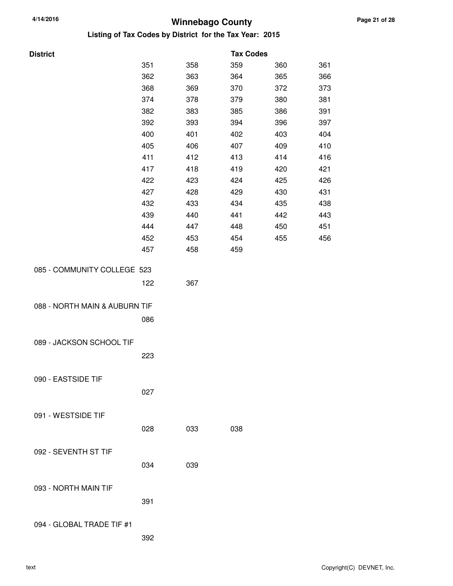| <b>District</b>               |     |     | <b>Tax Codes</b> |     |     |
|-------------------------------|-----|-----|------------------|-----|-----|
|                               | 351 | 358 | 359              | 360 | 361 |
|                               | 362 | 363 | 364              | 365 | 366 |
|                               | 368 | 369 | 370              | 372 | 373 |
|                               | 374 | 378 | 379              | 380 | 381 |
|                               | 382 | 383 | 385              | 386 | 391 |
|                               | 392 | 393 | 394              | 396 | 397 |
|                               | 400 | 401 | 402              | 403 | 404 |
|                               | 405 | 406 | 407              | 409 | 410 |
|                               | 411 | 412 | 413              | 414 | 416 |
|                               | 417 | 418 | 419              | 420 | 421 |
|                               | 422 | 423 | 424              | 425 | 426 |
|                               | 427 | 428 | 429              | 430 | 431 |
|                               | 432 | 433 | 434              | 435 | 438 |
|                               | 439 | 440 | 441              | 442 | 443 |
|                               | 444 | 447 | 448              | 450 | 451 |
|                               | 452 | 453 | 454              | 455 | 456 |
|                               | 457 | 458 | 459              |     |     |
|                               |     |     |                  |     |     |
| 085 - COMMUNITY COLLEGE 523   |     |     |                  |     |     |
|                               | 122 | 367 |                  |     |     |
|                               |     |     |                  |     |     |
| 088 - NORTH MAIN & AUBURN TIF |     |     |                  |     |     |
|                               | 086 |     |                  |     |     |
|                               |     |     |                  |     |     |
| 089 - JACKSON SCHOOL TIF      |     |     |                  |     |     |
|                               | 223 |     |                  |     |     |
|                               |     |     |                  |     |     |
| 090 - EASTSIDE TIF            |     |     |                  |     |     |
|                               | 027 |     |                  |     |     |
|                               |     |     |                  |     |     |
| 091 - WESTSIDE TIF            |     |     |                  |     |     |
|                               | 028 | 033 | 038              |     |     |
|                               |     |     |                  |     |     |
| 092 - SEVENTH ST TIF          |     |     |                  |     |     |
|                               | 034 | 039 |                  |     |     |
|                               |     |     |                  |     |     |
| 093 - NORTH MAIN TIF          |     |     |                  |     |     |
|                               | 391 |     |                  |     |     |
|                               |     |     |                  |     |     |
| 094 - GLOBAL TRADE TIF #1     |     |     |                  |     |     |
|                               | 392 |     |                  |     |     |
|                               |     |     |                  |     |     |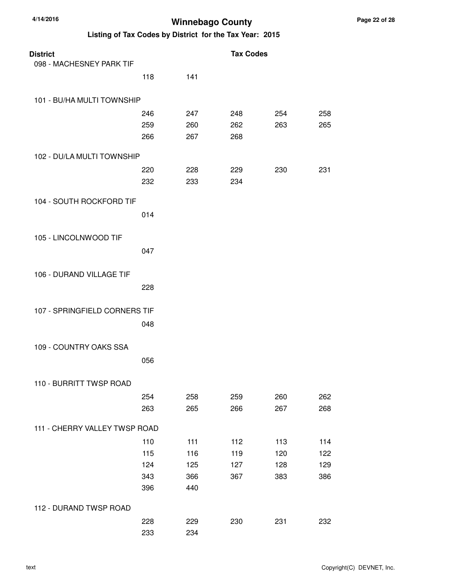| <b>District</b>               |     |     | <b>Tax Codes</b> |     |     |
|-------------------------------|-----|-----|------------------|-----|-----|
| 098 - MACHESNEY PARK TIF      |     |     |                  |     |     |
|                               | 118 | 141 |                  |     |     |
| 101 - BU/HA MULTI TOWNSHIP    |     |     |                  |     |     |
|                               | 246 | 247 | 248              | 254 | 258 |
|                               | 259 | 260 | 262              | 263 | 265 |
|                               | 266 | 267 | 268              |     |     |
| 102 - DU/LA MULTI TOWNSHIP    |     |     |                  |     |     |
|                               | 220 | 228 | 229              | 230 | 231 |
|                               | 232 | 233 | 234              |     |     |
| 104 - SOUTH ROCKFORD TIF      |     |     |                  |     |     |
|                               | 014 |     |                  |     |     |
| 105 - LINCOLNWOOD TIF         |     |     |                  |     |     |
|                               | 047 |     |                  |     |     |
| 106 - DURAND VILLAGE TIF      |     |     |                  |     |     |
|                               | 228 |     |                  |     |     |
| 107 - SPRINGFIELD CORNERS TIF |     |     |                  |     |     |
|                               | 048 |     |                  |     |     |
| 109 - COUNTRY OAKS SSA        |     |     |                  |     |     |
|                               | 056 |     |                  |     |     |
| 110 - BURRITT TWSP ROAD       |     |     |                  |     |     |
|                               | 254 | 258 | 259              | 260 | 262 |
|                               | 263 | 265 | 266              | 267 | 268 |
| 111 - CHERRY VALLEY TWSP ROAD |     |     |                  |     |     |
|                               | 110 | 111 | 112              | 113 | 114 |
|                               | 115 | 116 | 119              | 120 | 122 |
|                               | 124 | 125 | 127              | 128 | 129 |
|                               | 343 | 366 | 367              | 383 | 386 |
|                               | 396 | 440 |                  |     |     |
| 112 - DURAND TWSP ROAD        |     |     |                  |     |     |
|                               | 228 | 229 | 230              | 231 | 232 |
|                               | 233 | 234 |                  |     |     |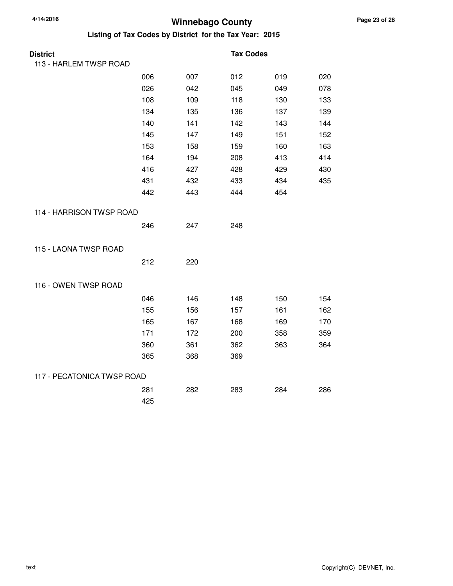| <b>District</b>            |     |     | <b>Tax Codes</b> |     |     |
|----------------------------|-----|-----|------------------|-----|-----|
| 113 - HARLEM TWSP ROAD     |     |     |                  |     |     |
|                            | 006 | 007 | 012              | 019 | 020 |
|                            | 026 | 042 | 045              | 049 | 078 |
|                            | 108 | 109 | 118              | 130 | 133 |
|                            | 134 | 135 | 136              | 137 | 139 |
|                            | 140 | 141 | 142              | 143 | 144 |
|                            | 145 | 147 | 149              | 151 | 152 |
|                            | 153 | 158 | 159              | 160 | 163 |
|                            | 164 | 194 | 208              | 413 | 414 |
|                            | 416 | 427 | 428              | 429 | 430 |
|                            | 431 | 432 | 433              | 434 | 435 |
|                            | 442 | 443 | 444              | 454 |     |
| 114 - HARRISON TWSP ROAD   |     |     |                  |     |     |
|                            | 246 | 247 | 248              |     |     |
| 115 - LAONA TWSP ROAD      |     |     |                  |     |     |
|                            | 212 | 220 |                  |     |     |
| 116 - OWEN TWSP ROAD       |     |     |                  |     |     |
|                            | 046 | 146 | 148              | 150 | 154 |
|                            | 155 | 156 | 157              | 161 | 162 |
|                            | 165 | 167 | 168              | 169 | 170 |
|                            | 171 | 172 | 200              | 358 | 359 |
|                            | 360 | 361 | 362              | 363 | 364 |
|                            | 365 | 368 | 369              |     |     |
| 117 - PECATONICA TWSP ROAD |     |     |                  |     |     |
|                            | 281 | 282 | 283              | 284 | 286 |
|                            | 425 |     |                  |     |     |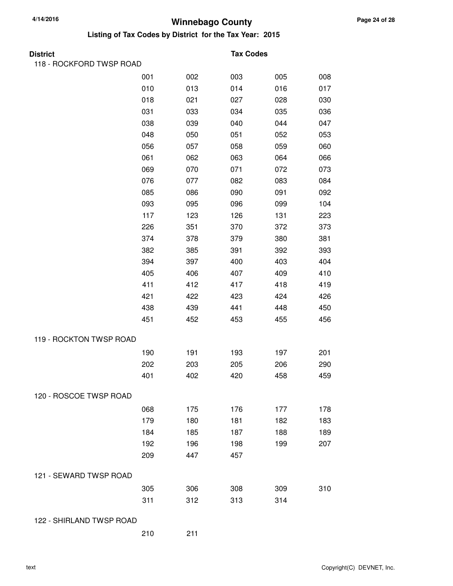| <b>District</b>          |     |     | <b>Tax Codes</b> |     |     |
|--------------------------|-----|-----|------------------|-----|-----|
| 118 - ROCKFORD TWSP ROAD |     |     |                  |     |     |
|                          | 001 | 002 | 003              | 005 | 008 |
|                          | 010 | 013 | 014              | 016 | 017 |
|                          | 018 | 021 | 027              | 028 | 030 |
|                          | 031 | 033 | 034              | 035 | 036 |
|                          | 038 | 039 | 040              | 044 | 047 |
|                          | 048 | 050 | 051              | 052 | 053 |
|                          | 056 | 057 | 058              | 059 | 060 |
|                          | 061 | 062 | 063              | 064 | 066 |
|                          | 069 | 070 | 071              | 072 | 073 |
|                          | 076 | 077 | 082              | 083 | 084 |
|                          | 085 | 086 | 090              | 091 | 092 |
|                          | 093 | 095 | 096              | 099 | 104 |
|                          | 117 | 123 | 126              | 131 | 223 |
|                          | 226 | 351 | 370              | 372 | 373 |
|                          | 374 | 378 | 379              | 380 | 381 |
|                          | 382 | 385 | 391              | 392 | 393 |
|                          | 394 | 397 | 400              | 403 | 404 |
|                          | 405 | 406 | 407              | 409 | 410 |
|                          | 411 | 412 | 417              | 418 | 419 |
|                          | 421 | 422 | 423              | 424 | 426 |
|                          | 438 | 439 | 441              | 448 | 450 |
|                          | 451 | 452 | 453              | 455 | 456 |
| 119 - ROCKTON TWSP ROAD  |     |     |                  |     |     |
|                          | 190 | 191 | 193              | 197 | 201 |
|                          | 202 | 203 | 205              | 206 | 290 |
|                          | 401 | 402 | 420              | 458 | 459 |
| 120 - ROSCOE TWSP ROAD   |     |     |                  |     |     |
|                          | 068 | 175 | 176              | 177 | 178 |
|                          | 179 | 180 | 181              | 182 | 183 |
|                          | 184 | 185 | 187              | 188 | 189 |
|                          | 192 | 196 | 198              | 199 | 207 |
|                          | 209 | 447 | 457              |     |     |
| 121 - SEWARD TWSP ROAD   |     |     |                  |     |     |
|                          | 305 | 306 | 308              | 309 | 310 |
|                          | 311 | 312 | 313              | 314 |     |
| 122 - SHIRLAND TWSP ROAD |     |     |                  |     |     |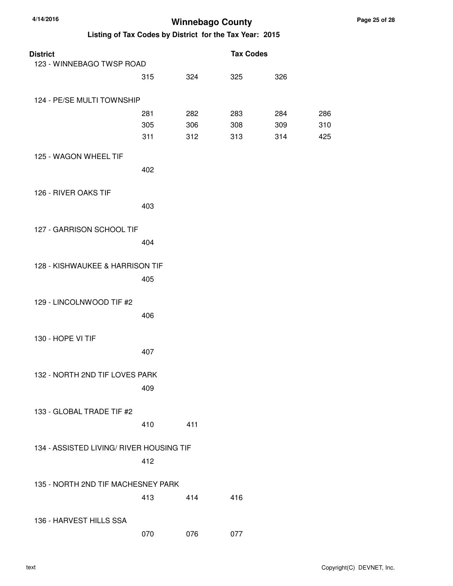| <b>District</b>                          |     |     | <b>Tax Codes</b> |     |     |
|------------------------------------------|-----|-----|------------------|-----|-----|
| 123 - WINNEBAGO TWSP ROAD                |     |     |                  |     |     |
|                                          | 315 | 324 | 325              | 326 |     |
| 124 - PE/SE MULTI TOWNSHIP               |     |     |                  |     |     |
|                                          | 281 | 282 | 283              | 284 | 286 |
|                                          | 305 | 306 | 308              | 309 | 310 |
|                                          | 311 | 312 | 313              | 314 | 425 |
| 125 - WAGON WHEEL TIF                    |     |     |                  |     |     |
|                                          | 402 |     |                  |     |     |
|                                          |     |     |                  |     |     |
| 126 - RIVER OAKS TIF                     |     |     |                  |     |     |
|                                          | 403 |     |                  |     |     |
| 127 - GARRISON SCHOOL TIF                |     |     |                  |     |     |
|                                          | 404 |     |                  |     |     |
|                                          |     |     |                  |     |     |
| 128 - KISHWAUKEE & HARRISON TIF          |     |     |                  |     |     |
|                                          | 405 |     |                  |     |     |
|                                          |     |     |                  |     |     |
| 129 - LINCOLNWOOD TIF #2                 |     |     |                  |     |     |
|                                          | 406 |     |                  |     |     |
| 130 - HOPE VI TIF                        |     |     |                  |     |     |
|                                          | 407 |     |                  |     |     |
|                                          |     |     |                  |     |     |
| 132 - NORTH 2ND TIF LOVES PARK           |     |     |                  |     |     |
|                                          | 409 |     |                  |     |     |
|                                          |     |     |                  |     |     |
| 133 - GLOBAL TRADE TIF #2                |     |     |                  |     |     |
|                                          | 410 | 411 |                  |     |     |
| 134 - ASSISTED LIVING/ RIVER HOUSING TIF |     |     |                  |     |     |
|                                          | 412 |     |                  |     |     |
|                                          |     |     |                  |     |     |
| 135 - NORTH 2ND TIF MACHESNEY PARK       |     |     |                  |     |     |
|                                          | 413 | 414 | 416              |     |     |
|                                          |     |     |                  |     |     |
| 136 - HARVEST HILLS SSA                  |     |     |                  |     |     |
|                                          | 070 | 076 | 077              |     |     |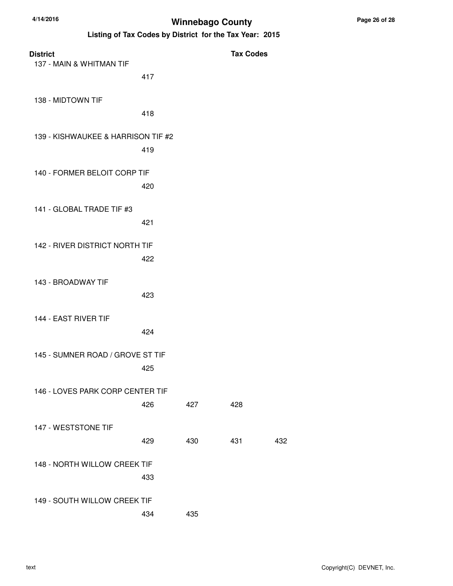| <b>District</b><br>137 - MAIN & WHITMAN TIF |     |     | <b>Tax Codes</b> |     |
|---------------------------------------------|-----|-----|------------------|-----|
|                                             | 417 |     |                  |     |
| 138 - MIDTOWN TIF                           | 418 |     |                  |     |
| 139 - KISHWAUKEE & HARRISON TIF #2          |     |     |                  |     |
|                                             | 419 |     |                  |     |
| 140 - FORMER BELOIT CORP TIF                | 420 |     |                  |     |
| 141 - GLOBAL TRADE TIF #3                   | 421 |     |                  |     |
| 142 - RIVER DISTRICT NORTH TIF              | 422 |     |                  |     |
| 143 - BROADWAY TIF                          | 423 |     |                  |     |
| 144 - EAST RIVER TIF                        | 424 |     |                  |     |
| 145 - SUMNER ROAD / GROVE ST TIF            | 425 |     |                  |     |
| 146 - LOVES PARK CORP CENTER TIF            | 426 | 427 | 428              |     |
| 147 - WESTSTONE TIF                         | 429 | 430 | 431              | 432 |
| 148 - NORTH WILLOW CREEK TIF                | 433 |     |                  |     |
| 149 - SOUTH WILLOW CREEK TIF                |     |     |                  |     |
|                                             | 434 | 435 |                  |     |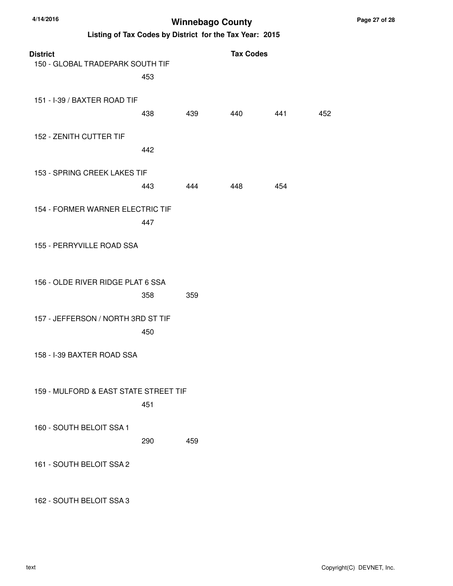**Listing of Tax Codes by District for the Tax Year: 2015**

| <b>District</b><br>150 - GLOBAL TRADEPARK SOUTH TIF<br>453 |     |     | <b>Tax Codes</b> |     |
|------------------------------------------------------------|-----|-----|------------------|-----|
| 151 - I-39 / BAXTER ROAD TIF<br>438                        | 439 | 440 | 441              | 452 |
| 152 - ZENITH CUTTER TIF<br>442                             |     |     |                  |     |
| 153 - SPRING CREEK LAKES TIF<br>443                        | 444 | 448 | 454              |     |
| 154 - FORMER WARNER ELECTRIC TIF<br>447                    |     |     |                  |     |
| 155 - PERRYVILLE ROAD SSA                                  |     |     |                  |     |
| 156 - OLDE RIVER RIDGE PLAT 6 SSA<br>358                   | 359 |     |                  |     |
| 157 - JEFFERSON / NORTH 3RD ST TIF<br>450                  |     |     |                  |     |
| 158 - I-39 BAXTER ROAD SSA                                 |     |     |                  |     |
| 159 - MULFORD & EAST STATE STREET TIF<br>451               |     |     |                  |     |
| 160 - SOUTH BELOIT SSA 1<br>290                            | 459 |     |                  |     |
| 161 - SOUTH BELOIT SSA 2                                   |     |     |                  |     |

162 - SOUTH BELOIT SSA 3